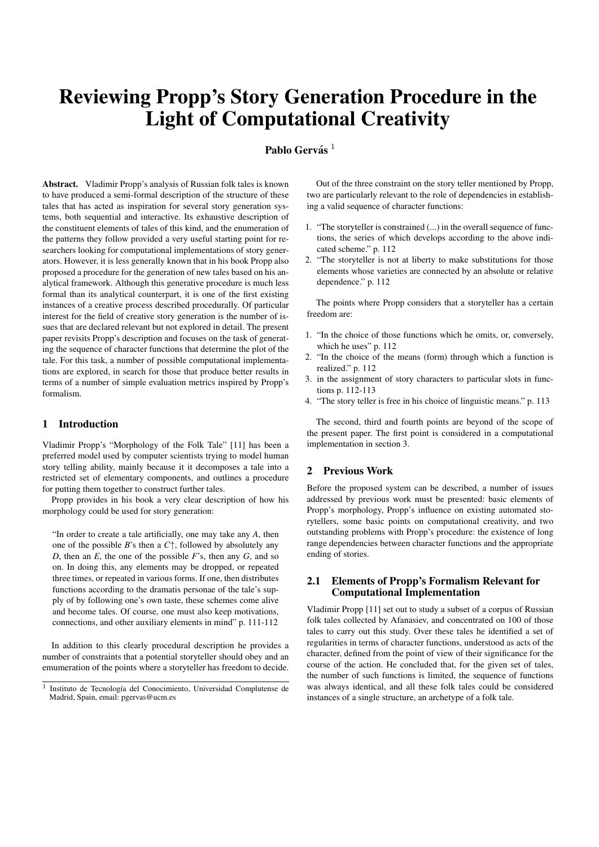# Reviewing Propp's Story Generation Procedure in the Light of Computational Creativity

# Pablo Gervás  $^1$

Abstract. Vladimir Propp's analysis of Russian folk tales is known to have produced a semi-formal description of the structure of these tales that has acted as inspiration for several story generation systems, both sequential and interactive. Its exhaustive description of the constituent elements of tales of this kind, and the enumeration of the patterns they follow provided a very useful starting point for researchers looking for computational implementations of story generators. However, it is less generally known that in his book Propp also proposed a procedure for the generation of new tales based on his analytical framework. Although this generative procedure is much less formal than its analytical counterpart, it is one of the first existing instances of a creative process described procedurally. Of particular interest for the field of creative story generation is the number of issues that are declared relevant but not explored in detail. The present paper revisits Propp's description and focuses on the task of generating the sequence of character functions that determine the plot of the tale. For this task, a number of possible computational implementations are explored, in search for those that produce better results in terms of a number of simple evaluation metrics inspired by Propp's formalism.

## 1 Introduction

Vladimir Propp's "Morphology of the Folk Tale" [11] has been a preferred model used by computer scientists trying to model human story telling ability, mainly because it it decomposes a tale into a restricted set of elementary components, and outlines a procedure for putting them together to construct further tales.

Propp provides in his book a very clear description of how his morphology could be used for story generation:

"In order to create a tale artificially, one may take any *A*, then one of the possible *B*'s then a *C*↑, followed by absolutely any *D*, then an *E*, the one of the possible *F*'s, then any *G*, and so on. In doing this, any elements may be dropped, or repeated three times, or repeated in various forms. If one, then distributes functions according to the dramatis personae of the tale's supply of by following one's own taste, these schemes come alive and become tales. Of course, one must also keep motivations, connections, and other auxiliary elements in mind" p. 111-112

In addition to this clearly procedural description he provides a number of constraints that a potential storyteller should obey and an emumeration of the points where a storyteller has freedom to decide.

Out of the three constraint on the story teller mentioned by Propp, two are particularly relevant to the role of dependencies in establishing a valid sequence of character functions:

- 1. "The storyteller is constrained (...) in the overall sequence of functions, the series of which develops according to the above indicated scheme." p. 112
- 2. "The storyteller is not at liberty to make substitutions for those elements whose varieties are connected by an absolute or relative dependence." p. 112

The points where Propp considers that a storyteller has a certain freedom are:

- 1. "In the choice of those functions which he omits, or, conversely, which he uses" p. 112
- 2. "In the choice of the means (form) through which a function is realized." p. 112
- 3. in the assignment of story characters to particular slots in functions p. 112-113
- 4. "The story teller is free in his choice of linguistic means." p. 113

The second, third and fourth points are beyond of the scope of the present paper. The first point is considered in a computational implementation in section 3.

#### 2 Previous Work

Before the proposed system can be described, a number of issues addressed by previous work must be presented: basic elements of Propp's morphology, Propp's influence on existing automated storytellers, some basic points on computational creativity, and two outstanding problems with Propp's procedure: the existence of long range dependencies between character functions and the appropriate ending of stories.

#### 2.1 Elements of Propp's Formalism Relevant for Computational Implementation

Vladimir Propp [11] set out to study a subset of a corpus of Russian folk tales collected by Afanasiev, and concentrated on 100 of those tales to carry out this study. Over these tales he identified a set of regularities in terms of character functions, understood as acts of the character, defined from the point of view of their significance for the course of the action. He concluded that, for the given set of tales, the number of such functions is limited, the sequence of functions was always identical, and all these folk tales could be considered instances of a single structure, an archetype of a folk tale.

<sup>&</sup>lt;sup>1</sup> Instituto de Tecnología del Conocimiento, Universidad Complutense de Madrid, Spain, email: pgervas@ucm.es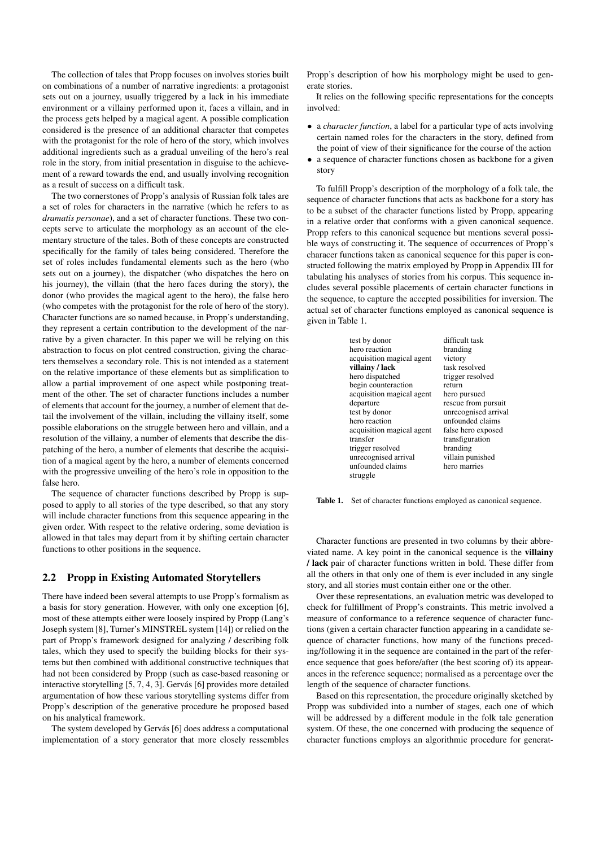The collection of tales that Propp focuses on involves stories built on combinations of a number of narrative ingredients: a protagonist sets out on a journey, usually triggered by a lack in his immediate environment or a villainy performed upon it, faces a villain, and in the process gets helped by a magical agent. A possible complication considered is the presence of an additional character that competes with the protagonist for the role of hero of the story, which involves additional ingredients such as a gradual unveiling of the hero's real role in the story, from initial presentation in disguise to the achievement of a reward towards the end, and usually involving recognition as a result of success on a difficult task.

The two cornerstones of Propp's analysis of Russian folk tales are a set of roles for characters in the narrative (which he refers to as *dramatis personae*), and a set of character functions. These two concepts serve to articulate the morphology as an account of the elementary structure of the tales. Both of these concepts are constructed specifically for the family of tales being considered. Therefore the set of roles includes fundamental elements such as the hero (who sets out on a journey), the dispatcher (who dispatches the hero on his journey), the villain (that the hero faces during the story), the donor (who provides the magical agent to the hero), the false hero (who competes with the protagonist for the role of hero of the story). Character functions are so named because, in Propp's understanding, they represent a certain contribution to the development of the narrative by a given character. In this paper we will be relying on this abstraction to focus on plot centred construction, giving the characters themselves a secondary role. This is not intended as a statement on the relative importance of these elements but as simplification to allow a partial improvement of one aspect while postponing treatment of the other. The set of character functions includes a number of elements that account for the journey, a number of element that detail the involvement of the villain, including the villainy itself, some possible elaborations on the struggle between hero and villain, and a resolution of the villainy, a number of elements that describe the dispatching of the hero, a number of elements that describe the acquisition of a magical agent by the hero, a number of elements concerned with the progressive unveiling of the hero's role in opposition to the false hero.

The sequence of character functions described by Propp is supposed to apply to all stories of the type described, so that any story will include character functions from this sequence appearing in the given order. With respect to the relative ordering, some deviation is allowed in that tales may depart from it by shifting certain character functions to other positions in the sequence.

#### 2.2 Propp in Existing Automated Storytellers

There have indeed been several attempts to use Propp's formalism as a basis for story generation. However, with only one exception [6], most of these attempts either were loosely inspired by Propp (Lang's Joseph system [8], Turner's MINSTREL system [14]) or relied on the part of Propp's framework designed for analyzing / describing folk tales, which they used to specify the building blocks for their systems but then combined with additional constructive techniques that had not been considered by Propp (such as case-based reasoning or interactive storytelling  $[5, 7, 4, 3]$ . Gervás  $[6]$  provides more detailed argumentation of how these various storytelling systems differ from Propp's description of the generative procedure he proposed based on his analytical framework.

The system developed by Gervás [6] does address a computational implementation of a story generator that more closely ressembles Propp's description of how his morphology might be used to generate stories.

It relies on the following specific representations for the concepts involved:

- a *character function*, a label for a particular type of acts involving certain named roles for the characters in the story, defined from the point of view of their significance for the course of the action
- a sequence of character functions chosen as backbone for a given story

To fulfill Propp's description of the morphology of a folk tale, the sequence of character functions that acts as backbone for a story has to be a subset of the character functions listed by Propp, appearing in a relative order that conforms with a given canonical sequence. Propp refers to this canonical sequence but mentions several possible ways of constructing it. The sequence of occurrences of Propp's characer functions taken as canonical sequence for this paper is constructed following the matrix employed by Propp in Appendix III for tabulating his analyses of stories from his corpus. This sequence includes several possible placements of certain character functions in the sequence, to capture the accepted possibilities for inversion. The actual set of character functions employed as canonical sequence is given in Table 1.

| test by donor             | difficult task       |
|---------------------------|----------------------|
| hero reaction             | branding             |
| acquisition magical agent | victory              |
| villainy / lack           | task resolved        |
| hero dispatched           | trigger resolved     |
| begin counteraction       | return               |
| acquisition magical agent | hero pursued         |
| departure                 | rescue from pursuit  |
| test by donor             | unrecognised arrival |
| hero reaction             | unfounded claims     |
| acquisition magical agent | false hero exposed   |
| transfer                  | transfiguration      |
| trigger resolved          | branding             |
| unrecognised arrival      | villain punished     |
| unfounded claims          | hero marries         |

Table 1. Set of character functions employed as canonical sequence.

struggle

Character functions are presented in two columns by their abbreviated name. A key point in the canonical sequence is the villainy / lack pair of character functions written in bold. These differ from all the others in that only one of them is ever included in any single story, and all stories must contain either one or the other.

Over these representations, an evaluation metric was developed to check for fulfillment of Propp's constraints. This metric involved a measure of conformance to a reference sequence of character functions (given a certain character function appearing in a candidate sequence of character functions, how many of the functions preceding/following it in the sequence are contained in the part of the reference sequence that goes before/after (the best scoring of) its appearances in the reference sequence; normalised as a percentage over the length of the sequence of character functions.

Based on this representation, the procedure originally sketched by Propp was subdivided into a number of stages, each one of which will be addressed by a different module in the folk tale generation system. Of these, the one concerned with producing the sequence of character functions employs an algorithmic procedure for generat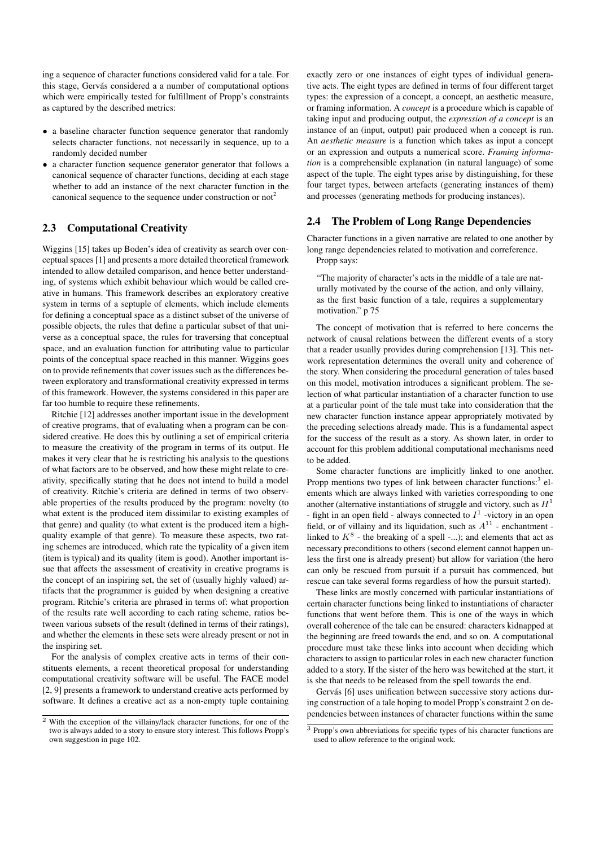ing a sequence of character functions considered valid for a tale. For this stage, Gervás considered a a number of computational options which were empirically tested for fulfillment of Propp's constraints as captured by the described metrics:

- a baseline character function sequence generator that randomly selects character functions, not necessarily in sequence, up to a randomly decided number
- a character function sequence generator generator that follows a canonical sequence of character functions, deciding at each stage whether to add an instance of the next character function in the canonical sequence to the sequence under construction or  $\text{not}^2$

### 2.3 Computational Creativity

Wiggins [15] takes up Boden's idea of creativity as search over conceptual spaces [1] and presents a more detailed theoretical framework intended to allow detailed comparison, and hence better understanding, of systems which exhibit behaviour which would be called creative in humans. This framework describes an exploratory creative system in terms of a septuple of elements, which include elements for defining a conceptual space as a distinct subset of the universe of possible objects, the rules that define a particular subset of that universe as a conceptual space, the rules for traversing that conceptual space, and an evaluation function for attributing value to particular points of the conceptual space reached in this manner. Wiggins goes on to provide refinements that cover issues such as the differences between exploratory and transformational creativity expressed in terms of this framework. However, the systems considered in this paper are far too humble to require these refinements.

Ritchie [12] addresses another important issue in the development of creative programs, that of evaluating when a program can be considered creative. He does this by outlining a set of empirical criteria to measure the creativity of the program in terms of its output. He makes it very clear that he is restricting his analysis to the questions of what factors are to be observed, and how these might relate to creativity, specifically stating that he does not intend to build a model of creativity. Ritchie's criteria are defined in terms of two observable properties of the results produced by the program: novelty (to what extent is the produced item dissimilar to existing examples of that genre) and quality (to what extent is the produced item a highquality example of that genre). To measure these aspects, two rating schemes are introduced, which rate the typicality of a given item (item is typical) and its quality (item is good). Another important issue that affects the assessment of creativity in creative programs is the concept of an inspiring set, the set of (usually highly valued) artifacts that the programmer is guided by when designing a creative program. Ritchie's criteria are phrased in terms of: what proportion of the results rate well according to each rating scheme, ratios between various subsets of the result (defined in terms of their ratings), and whether the elements in these sets were already present or not in the inspiring set.

For the analysis of complex creative acts in terms of their constituents elements, a recent theoretical proposal for understanding computational creativity software will be useful. The FACE model [2, 9] presents a framework to understand creative acts performed by software. It defines a creative act as a non-empty tuple containing exactly zero or one instances of eight types of individual generative acts. The eight types are defined in terms of four different target types: the expression of a concept, a concept, an aesthetic measure, or framing information. A *concept* is a procedure which is capable of taking input and producing output, the *expression of a concept* is an instance of an (input, output) pair produced when a concept is run. An *aesthetic measure* is a function which takes as input a concept or an expression and outputs a numerical score. *Framing information* is a comprehensible explanation (in natural language) of some aspect of the tuple. The eight types arise by distinguishing, for these four target types, between artefacts (generating instances of them) and processes (generating methods for producing instances).

#### 2.4 The Problem of Long Range Dependencies

Character functions in a given narrative are related to one another by long range dependencies related to motivation and correference. Propp says:

"The majority of character's acts in the middle of a tale are naturally motivated by the course of the action, and only villainy, as the first basic function of a tale, requires a supplementary motivation." p 75

The concept of motivation that is referred to here concerns the network of causal relations between the different events of a story that a reader usually provides during comprehension [13]. This network representation determines the overall unity and coherence of the story. When considering the procedural generation of tales based on this model, motivation introduces a significant problem. The selection of what particular instantiation of a character function to use at a particular point of the tale must take into consideration that the new character function instance appear appropriately motivated by the preceding selections already made. This is a fundamental aspect for the success of the result as a story. As shown later, in order to account for this problem additional computational mechanisms need to be added.

Some character functions are implicitly linked to one another. Propp mentions two types of link between character functions:<sup>3</sup> elements which are always linked with varieties corresponding to one another (alternative instantiations of struggle and victory, such as  $H<sup>1</sup>$ - fight in an open field - always connected to  $I<sup>1</sup>$  -victory in an open field, or of villainy and its liquidation, such as  $A^{11}$  - enchantment linked to  $K^8$  - the breaking of a spell -...); and elements that act as necessary preconditions to others (second element cannot happen unless the first one is already present) but allow for variation (the hero can only be rescued from pursuit if a pursuit has commenced, but rescue can take several forms regardless of how the pursuit started).

These links are mostly concerned with particular instantiations of certain character functions being linked to instantiations of character functions that went before them. This is one of the ways in which overall coherence of the tale can be ensured: characters kidnapped at the beginning are freed towards the end, and so on. A computational procedure must take these links into account when deciding which characters to assign to particular roles in each new character function added to a story. If the sister of the hero was bewitched at the start, it is she that needs to be released from the spell towards the end.

Gervás [6] uses unification between successive story actions during construction of a tale hoping to model Propp's constraint 2 on dependencies between instances of character functions within the same

 $\overline{2}$  With the exception of the villainy/lack character functions, for one of the two is always added to a story to ensure story interest. This follows Propp's own suggestion in page 102.

<sup>&</sup>lt;sup>3</sup> Propp's own abbreviations for specific types of his character functions are used to allow reference to the original work.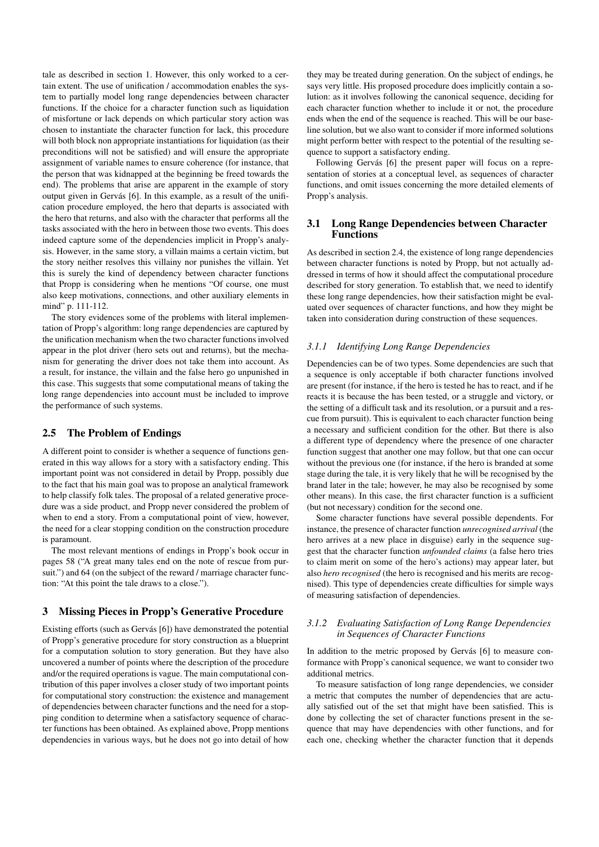tale as described in section 1. However, this only worked to a certain extent. The use of unification / accommodation enables the system to partially model long range dependencies between character functions. If the choice for a character function such as liquidation of misfortune or lack depends on which particular story action was chosen to instantiate the character function for lack, this procedure will both block non appropriate instantiations for liquidation (as their preconditions will not be satisfied) and will ensure the appropriate assignment of variable names to ensure coherence (for instance, that the person that was kidnapped at the beginning be freed towards the end). The problems that arise are apparent in the example of story output given in Gervás [6]. In this example, as a result of the unification procedure employed, the hero that departs is associated with the hero that returns, and also with the character that performs all the tasks associated with the hero in between those two events. This does indeed capture some of the dependencies implicit in Propp's analysis. However, in the same story, a villain maims a certain victim, but the story neither resolves this villainy nor punishes the villain. Yet this is surely the kind of dependency between character functions that Propp is considering when he mentions "Of course, one must also keep motivations, connections, and other auxiliary elements in mind" p. 111-112.

The story evidences some of the problems with literal implementation of Propp's algorithm: long range dependencies are captured by the unification mechanism when the two character functions involved appear in the plot driver (hero sets out and returns), but the mechanism for generating the driver does not take them into account. As a result, for instance, the villain and the false hero go unpunished in this case. This suggests that some computational means of taking the long range dependencies into account must be included to improve the performance of such systems.

# 2.5 The Problem of Endings

A different point to consider is whether a sequence of functions generated in this way allows for a story with a satisfactory ending. This important point was not considered in detail by Propp, possibly due to the fact that his main goal was to propose an analytical framework to help classify folk tales. The proposal of a related generative procedure was a side product, and Propp never considered the problem of when to end a story. From a computational point of view, however, the need for a clear stopping condition on the construction procedure is paramount.

The most relevant mentions of endings in Propp's book occur in pages 58 ("A great many tales end on the note of rescue from pursuit.") and 64 (on the subject of the reward / marriage character function: "At this point the tale draws to a close.").

#### 3 Missing Pieces in Propp's Generative Procedure

Existing efforts (such as Gervás  $[6]$ ) have demonstrated the potential of Propp's generative procedure for story construction as a blueprint for a computation solution to story generation. But they have also uncovered a number of points where the description of the procedure and/or the required operations is vague. The main computational contribution of this paper involves a closer study of two important points for computational story construction: the existence and management of dependencies between character functions and the need for a stopping condition to determine when a satisfactory sequence of character functions has been obtained. As explained above, Propp mentions dependencies in various ways, but he does not go into detail of how

they may be treated during generation. On the subject of endings, he says very little. His proposed procedure does implicitly contain a solution: as it involves following the canonical sequence, deciding for each character function whether to include it or not, the procedure ends when the end of the sequence is reached. This will be our baseline solution, but we also want to consider if more informed solutions might perform better with respect to the potential of the resulting sequence to support a satisfactory ending.

Following Gervás [6] the present paper will focus on a representation of stories at a conceptual level, as sequences of character functions, and omit issues concerning the more detailed elements of Propp's analysis.

#### 3.1 Long Range Dependencies between Character Functions

As described in section 2.4, the existence of long range dependencies between character functions is noted by Propp, but not actually addressed in terms of how it should affect the computational procedure described for story generation. To establish that, we need to identify these long range dependencies, how their satisfaction might be evaluated over sequences of character functions, and how they might be taken into consideration during construction of these sequences.

#### *3.1.1 Identifying Long Range Dependencies*

Dependencies can be of two types. Some dependencies are such that a sequence is only acceptable if both character functions involved are present (for instance, if the hero is tested he has to react, and if he reacts it is because the has been tested, or a struggle and victory, or the setting of a difficult task and its resolution, or a pursuit and a rescue from pursuit). This is equivalent to each character function being a necessary and sufficient condition for the other. But there is also a different type of dependency where the presence of one character function suggest that another one may follow, but that one can occur without the previous one (for instance, if the hero is branded at some stage during the tale, it is very likely that he will be recognised by the brand later in the tale; however, he may also be recognised by some other means). In this case, the first character function is a sufficient (but not necessary) condition for the second one.

Some character functions have several possible dependents. For instance, the presence of character function *unrecognised arrival* (the hero arrives at a new place in disguise) early in the sequence suggest that the character function *unfounded claims* (a false hero tries to claim merit on some of the hero's actions) may appear later, but also *hero recognised* (the hero is recognised and his merits are recognised). This type of dependencies create difficulties for simple ways of measuring satisfaction of dependencies.

#### *3.1.2 Evaluating Satisfaction of Long Range Dependencies in Sequences of Character Functions*

In addition to the metric proposed by Gervás [6] to measure conformance with Propp's canonical sequence, we want to consider two additional metrics.

To measure satisfaction of long range dependencies, we consider a metric that computes the number of dependencies that are actually satisfied out of the set that might have been satisfied. This is done by collecting the set of character functions present in the sequence that may have dependencies with other functions, and for each one, checking whether the character function that it depends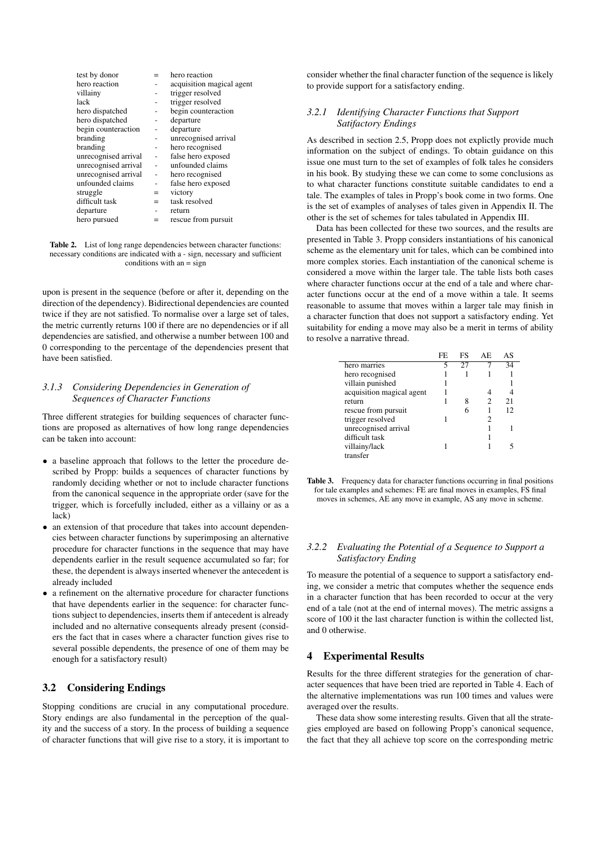| test by donor        |     | hero reaction             |
|----------------------|-----|---------------------------|
| hero reaction        | ٠   | acquisition magical agent |
| villainy             |     | trigger resolved          |
| lack                 |     | trigger resolved          |
| hero dispatched      |     | begin counteraction       |
| hero dispatched      |     | departure                 |
| begin counteraction  |     | departure                 |
| branding             |     | unrecognised arrival      |
| branding             |     | hero recognised           |
| unrecognised arrival |     | false hero exposed        |
| unrecognised arrival |     | unfounded claims          |
| unrecognised arrival |     | hero recognised           |
| unfounded claims     |     | false hero exposed        |
| struggle             | $=$ | victory                   |
| difficult task       | $=$ | task resolved             |
| departure            |     | return                    |
| hero pursued         | $=$ | rescue from pursuit       |
|                      |     |                           |

Table 2. List of long range dependencies between character functions: necessary conditions are indicated with a - sign, necessary and sufficient conditions with an  $=$  sign

upon is present in the sequence (before or after it, depending on the direction of the dependency). Bidirectional dependencies are counted twice if they are not satisfied. To normalise over a large set of tales, the metric currently returns 100 if there are no dependencies or if all dependencies are satisfied, and otherwise a number between 100 and 0 corresponding to the percentage of the dependencies present that have been satisfied.

#### *3.1.3 Considering Dependencies in Generation of Sequences of Character Functions*

Three different strategies for building sequences of character functions are proposed as alternatives of how long range dependencies can be taken into account:

- a baseline approach that follows to the letter the procedure described by Propp: builds a sequences of character functions by randomly deciding whether or not to include character functions from the canonical sequence in the appropriate order (save for the trigger, which is forcefully included, either as a villainy or as a lack)
- an extension of that procedure that takes into account dependencies between character functions by superimposing an alternative procedure for character functions in the sequence that may have dependents earlier in the result sequence accumulated so far; for these, the dependent is always inserted whenever the antecedent is already included
- a refinement on the alternative procedure for character functions that have dependents earlier in the sequence: for character functions subject to dependencies, inserts them if antecedent is already included and no alternative consequents already present (considers the fact that in cases where a character function gives rise to several possible dependents, the presence of one of them may be enough for a satisfactory result)

#### 3.2 Considering Endings

Stopping conditions are crucial in any computational procedure. Story endings are also fundamental in the perception of the quality and the success of a story. In the process of building a sequence of character functions that will give rise to a story, it is important to

consider whether the final character function of the sequence is likely to provide support for a satisfactory ending.

#### *3.2.1 Identifying Character Functions that Support Satifactory Endings*

As described in section 2.5, Propp does not explictly provide much information on the subject of endings. To obtain guidance on this issue one must turn to the set of examples of folk tales he considers in his book. By studying these we can come to some conclusions as to what character functions constitute suitable candidates to end a tale. The examples of tales in Propp's book come in two forms. One is the set of examples of analyses of tales given in Appendix II. The other is the set of schemes for tales tabulated in Appendix III.

Data has been collected for these two sources, and the results are presented in Table 3. Propp considers instantiations of his canonical scheme as the elementary unit for tales, which can be combined into more complex stories. Each instantiation of the canonical scheme is considered a move within the larger tale. The table lists both cases where character functions occur at the end of a tale and where character functions occur at the end of a move within a tale. It seems reasonable to assume that moves within a larger tale may finish in a character function that does not support a satisfactory ending. Yet suitability for ending a move may also be a merit in terms of ability to resolve a narrative thread.

|                           | FE | FS | AF. | AS |
|---------------------------|----|----|-----|----|
| hero marries              |    | 27 |     | 34 |
| hero recognised           |    |    |     |    |
| villain punished          |    |    |     |    |
| acquisition magical agent |    |    |     |    |
| return                    |    |    | 2   | 21 |
| rescue from pursuit       |    |    |     | 12 |
| trigger resolved          |    |    |     |    |
| unrecognised arrival      |    |    |     |    |
| difficult task            |    |    |     |    |
| villainy/lack             |    |    |     |    |
| transfer                  |    |    |     |    |

Table 3. Frequency data for character functions occurring in final positions for tale examples and schemes: FE are final moves in examples, FS final moves in schemes, AE any move in example, AS any move in scheme.

#### *3.2.2 Evaluating the Potential of a Sequence to Support a Satisfactory Ending*

To measure the potential of a sequence to support a satisfactory ending, we consider a metric that computes whether the sequence ends in a character function that has been recorded to occur at the very end of a tale (not at the end of internal moves). The metric assigns a score of 100 it the last character function is within the collected list, and 0 otherwise.

## 4 Experimental Results

Results for the three different strategies for the generation of character sequences that have been tried are reported in Table 4. Each of the alternative implementations was run 100 times and values were averaged over the results.

These data show some interesting results. Given that all the strategies employed are based on following Propp's canonical sequence, the fact that they all achieve top score on the corresponding metric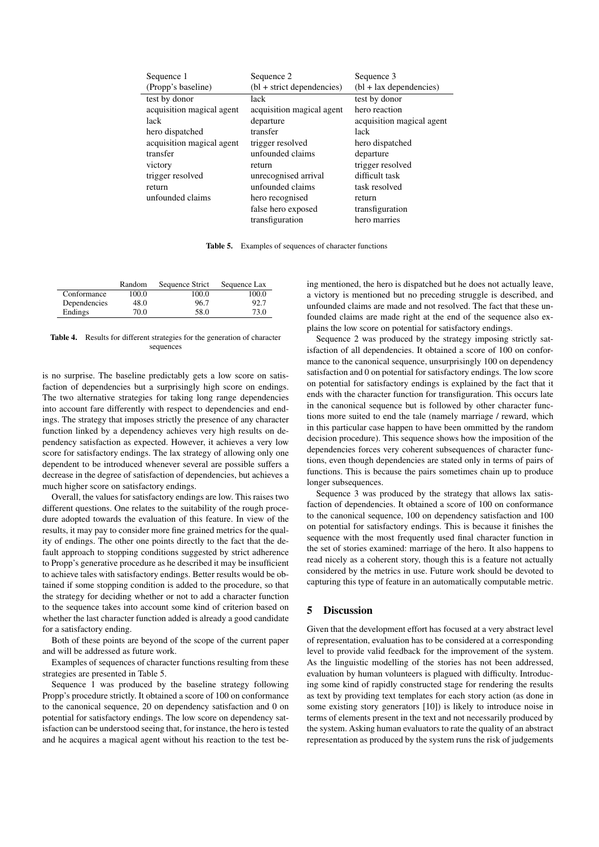| Sequence 1                | Sequence 2                   | Sequence 3                |
|---------------------------|------------------------------|---------------------------|
| (Propp's baseline)        | $(bl + strict dependencies)$ | $(bl + lax dependencies)$ |
| test by donor             | lack                         | test by donor             |
| acquisition magical agent | acquisition magical agent    | hero reaction             |
| lack                      | departure                    | acquisition magical agent |
| hero dispatched           | transfer                     | lack                      |
| acquisition magical agent | trigger resolved             | hero dispatched           |
| transfer                  | unfounded claims             | departure                 |
| victory                   | return                       | trigger resolved          |
| trigger resolved          | unrecognised arrival         | difficult task            |
| return                    | unfounded claims             | task resolved             |
| unfounded claims          | hero recognised              | return                    |
|                           | false hero exposed           | transfiguration           |
|                           | transfiguration              | hero marries              |

Table 5. Examples of sequences of character functions

|              | Random | Sequence Strict | Sequence Lax |
|--------------|--------|-----------------|--------------|
| Conformance  | 100.0  | 100.0           | 100.0        |
| Dependencies | 48.0   | 96.7            | 92.7         |
| Endings      | 70.0   | 58.0            | 73.0         |

Table 4. Results for different strategies for the generation of character sequences

is no surprise. The baseline predictably gets a low score on satisfaction of dependencies but a surprisingly high score on endings. The two alternative strategies for taking long range dependencies into account fare differently with respect to dependencies and endings. The strategy that imposes strictly the presence of any character function linked by a dependency achieves very high results on dependency satisfaction as expected. However, it achieves a very low score for satisfactory endings. The lax strategy of allowing only one dependent to be introduced whenever several are possible suffers a decrease in the degree of satisfaction of dependencies, but achieves a much higher score on satisfactory endings.

Overall, the values for satisfactory endings are low. This raises two different questions. One relates to the suitability of the rough procedure adopted towards the evaluation of this feature. In view of the results, it may pay to consider more fine grained metrics for the quality of endings. The other one points directly to the fact that the default approach to stopping conditions suggested by strict adherence to Propp's generative procedure as he described it may be insufficient to achieve tales with satisfactory endings. Better results would be obtained if some stopping condition is added to the procedure, so that the strategy for deciding whether or not to add a character function to the sequence takes into account some kind of criterion based on whether the last character function added is already a good candidate for a satisfactory ending.

Both of these points are beyond of the scope of the current paper and will be addressed as future work.

Examples of sequences of character functions resulting from these strategies are presented in Table 5.

Sequence 1 was produced by the baseline strategy following Propp's procedure strictly. It obtained a score of 100 on conformance to the canonical sequence, 20 on dependency satisfaction and 0 on potential for satisfactory endings. The low score on dependency satisfaction can be understood seeing that, for instance, the hero is tested and he acquires a magical agent without his reaction to the test being mentioned, the hero is dispatched but he does not actually leave, a victory is mentioned but no preceding struggle is described, and unfounded claims are made and not resolved. The fact that these unfounded claims are made right at the end of the sequence also explains the low score on potential for satisfactory endings.

Sequence 2 was produced by the strategy imposing strictly satisfaction of all dependencies. It obtained a score of 100 on conformance to the canonical sequence, unsurprisingly 100 on dependency satisfaction and 0 on potential for satisfactory endings. The low score on potential for satisfactory endings is explained by the fact that it ends with the character function for transfiguration. This occurs late in the canonical sequence but is followed by other character functions more suited to end the tale (namely marriage / reward, which in this particular case happen to have been ommitted by the random decision procedure). This sequence shows how the imposition of the dependencies forces very coherent subsequences of character functions, even though dependencies are stated only in terms of pairs of functions. This is because the pairs sometimes chain up to produce longer subsequences.

Sequence 3 was produced by the strategy that allows lax satisfaction of dependencies. It obtained a score of 100 on conformance to the canonical sequence, 100 on dependency satisfaction and 100 on potential for satisfactory endings. This is because it finishes the sequence with the most frequently used final character function in the set of stories examined: marriage of the hero. It also happens to read nicely as a coherent story, though this is a feature not actually considered by the metrics in use. Future work should be devoted to capturing this type of feature in an automatically computable metric.

## 5 Discussion

Given that the development effort has focused at a very abstract level of representation, evaluation has to be considered at a corresponding level to provide valid feedback for the improvement of the system. As the linguistic modelling of the stories has not been addressed, evaluation by human volunteers is plagued with difficulty. Introducing some kind of rapidly constructed stage for rendering the results as text by providing text templates for each story action (as done in some existing story generators [10]) is likely to introduce noise in terms of elements present in the text and not necessarily produced by the system. Asking human evaluators to rate the quality of an abstract representation as produced by the system runs the risk of judgements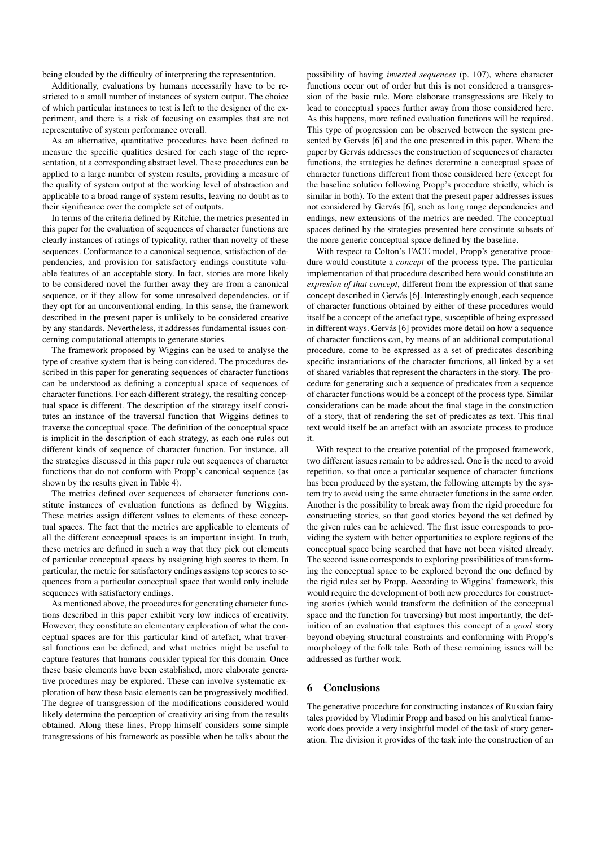being clouded by the difficulty of interpreting the representation.

Additionally, evaluations by humans necessarily have to be restricted to a small number of instances of system output. The choice of which particular instances to test is left to the designer of the experiment, and there is a risk of focusing on examples that are not representative of system performance overall.

As an alternative, quantitative procedures have been defined to measure the specific qualities desired for each stage of the representation, at a corresponding abstract level. These procedures can be applied to a large number of system results, providing a measure of the quality of system output at the working level of abstraction and applicable to a broad range of system results, leaving no doubt as to their significance over the complete set of outputs.

In terms of the criteria defined by Ritchie, the metrics presented in this paper for the evaluation of sequences of character functions are clearly instances of ratings of typicality, rather than novelty of these sequences. Conformance to a canonical sequence, satisfaction of dependencies, and provision for satisfactory endings constitute valuable features of an acceptable story. In fact, stories are more likely to be considered novel the further away they are from a canonical sequence, or if they allow for some unresolved dependencies, or if they opt for an unconventional ending. In this sense, the framework described in the present paper is unlikely to be considered creative by any standards. Nevertheless, it addresses fundamental issues concerning computational attempts to generate stories.

The framework proposed by Wiggins can be used to analyse the type of creative system that is being considered. The procedures described in this paper for generating sequences of character functions can be understood as defining a conceptual space of sequences of character functions. For each different strategy, the resulting conceptual space is different. The description of the strategy itself constitutes an instance of the traversal function that Wiggins defines to traverse the conceptual space. The definition of the conceptual space is implicit in the description of each strategy, as each one rules out different kinds of sequence of character function. For instance, all the strategies discussed in this paper rule out sequences of character functions that do not conform with Propp's canonical sequence (as shown by the results given in Table 4).

The metrics defined over sequences of character functions constitute instances of evaluation functions as defined by Wiggins. These metrics assign different values to elements of these conceptual spaces. The fact that the metrics are applicable to elements of all the different conceptual spaces is an important insight. In truth, these metrics are defined in such a way that they pick out elements of particular conceptual spaces by assigning high scores to them. In particular, the metric for satisfactory endings assigns top scores to sequences from a particular conceptual space that would only include sequences with satisfactory endings.

As mentioned above, the procedures for generating character functions described in this paper exhibit very low indices of creativity. However, they constitute an elementary exploration of what the conceptual spaces are for this particular kind of artefact, what traversal functions can be defined, and what metrics might be useful to capture features that humans consider typical for this domain. Once these basic elements have been established, more elaborate generative procedures may be explored. These can involve systematic exploration of how these basic elements can be progressively modified. The degree of transgression of the modifications considered would likely determine the perception of creativity arising from the results obtained. Along these lines, Propp himself considers some simple transgressions of his framework as possible when he talks about the

possibility of having *inverted sequences* (p. 107), where character functions occur out of order but this is not considered a transgression of the basic rule. More elaborate transgressions are likely to lead to conceptual spaces further away from those considered here. As this happens, more refined evaluation functions will be required. This type of progression can be observed between the system presented by Gervás [6] and the one presented in this paper. Where the paper by Gervás addresses the construction of sequences of character functions, the strategies he defines determine a conceptual space of character functions different from those considered here (except for the baseline solution following Propp's procedure strictly, which is similar in both). To the extent that the present paper addresses issues not considered by Gervás [6], such as long range dependencies and endings, new extensions of the metrics are needed. The conceptual spaces defined by the strategies presented here constitute subsets of the more generic conceptual space defined by the baseline.

With respect to Colton's FACE model, Propp's generative procedure would constitute a *concept* of the process type. The particular implementation of that procedure described here would constitute an *expresion of that concept*, different from the expression of that same concept described in Gervás [6]. Interestingly enough, each sequence of character functions obtained by either of these procedures would itself be a concept of the artefact type, susceptible of being expressed in different ways. Gervás [6] provides more detail on how a sequence of character functions can, by means of an additional computational procedure, come to be expressed as a set of predicates describing specific instantiations of the character functions, all linked by a set of shared variables that represent the characters in the story. The procedure for generating such a sequence of predicates from a sequence of character functions would be a concept of the process type. Similar considerations can be made about the final stage in the construction of a story, that of rendering the set of predicates as text. This final text would itself be an artefact with an associate process to produce it.

With respect to the creative potential of the proposed framework, two different issues remain to be addressed. One is the need to avoid repetition, so that once a particular sequence of character functions has been produced by the system, the following attempts by the system try to avoid using the same character functions in the same order. Another is the possibility to break away from the rigid procedure for constructing stories, so that good stories beyond the set defined by the given rules can be achieved. The first issue corresponds to providing the system with better opportunities to explore regions of the conceptual space being searched that have not been visited already. The second issue corresponds to exploring possibilities of transforming the conceptual space to be explored beyond the one defined by the rigid rules set by Propp. According to Wiggins' framework, this would require the development of both new procedures for constructing stories (which would transform the definition of the conceptual space and the function for traversing) but most importantly, the definition of an evaluation that captures this concept of a *good* story beyond obeying structural constraints and conforming with Propp's morphology of the folk tale. Both of these remaining issues will be addressed as further work.

#### 6 Conclusions

The generative procedure for constructing instances of Russian fairy tales provided by Vladimir Propp and based on his analytical framework does provide a very insightful model of the task of story generation. The division it provides of the task into the construction of an